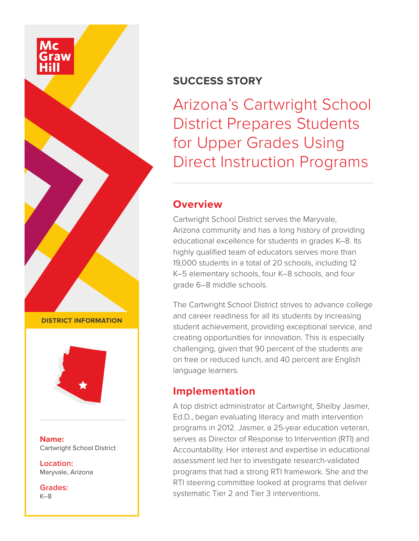# **SUCCESS STORY**

Arizona's Cartwright School District Prepares Students for Upper Grades Using Direct Instruction Programs

## **Overview**

Cartwright School District serves the Maryvale, Arizona community and has a long history of providing educational excellence for students in grades K–8. Its highly qualified team of educators serves more than 19,000 students in a total of 20 schools, including 12 K–5 elementary schools, four K–8 schools, and four grade 6–8 middle schools.

The Cartwright School District strives to advance college and career readiness for all its students by increasing student achievement, providing exceptional service, and creating opportunities for innovation. This is especially challenging, given that 90 percent of the students are on free or reduced lunch, and 40 percent are English language learners.

# **Implementation**

A top district administrator at Cartwright, Shelby Jasmer, Ed.D., began evaluating literacy and math intervention programs in 2012. Jasmer, a 25-year education veteran, serves as Director of Response to Intervention (RTI) and Accountability. Her interest and expertise in educational assessment led her to investigate research-validated programs that had a strong RTI framework. She and the RTI steering committee looked at programs that deliver systematic Tier 2 and Tier 3 interventions.

**DISTRICT INFORMATION**



**Name:** Cartwright School District

**Location:** Maryvale, Arizona

**Grades:** K–8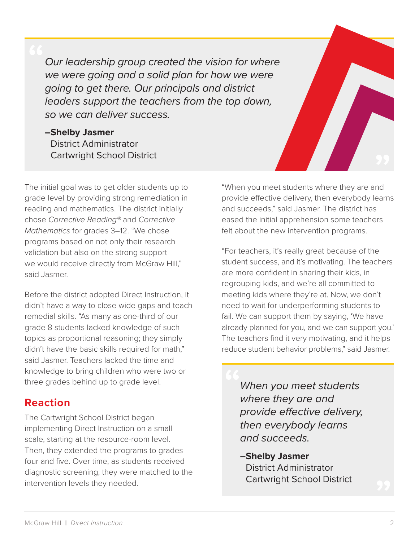*Our leadership group created the vision for where we were going and a solid plan for how we were going to get there. Our principals and district leaders support the teachers from the top down, so we can deliver success.*

**–Shelby Jasmer** District Administrator Cartwright School District

The initial goal was to get older students up to grade level by providing strong remediation in reading and mathematics. The district initially chose *Corrective Reading®* and *Corrective Mathematics* for grades 3–12. "We chose programs based on not only their research validation but also on the strong support we would receive directly from McGraw Hill," said Jasmer.

Before the district adopted Direct Instruction, it didn't have a way to close wide gaps and teach remedial skills. "As many as one-third of our grade 8 students lacked knowledge of such topics as proportional reasoning; they simply didn't have the basic skills required for math," said Jasmer. Teachers lacked the time and knowledge to bring children who were two or three grades behind up to grade level.

## **Reaction**

The Cartwright School District began implementing Direct Instruction on a small scale, starting at the resource-room level. Then, they extended the programs to grades four and five. Over time, as students received diagnostic screening, they were matched to the intervention levels they needed.

"When you meet students where they are and provide effective delivery, then everybody learns and succeeds," said Jasmer. The district has eased the initial apprehension some teachers felt about the new intervention programs.

"For teachers, it's really great because of the student success, and it's motivating. The teachers are more confident in sharing their kids, in regrouping kids, and we're all committed to meeting kids where they're at. Now, we don't need to wait for underperforming students to fail. We can support them by saying, 'We have already planned for you, and we can support you.' The teachers find it very motivating, and it helps reduce student behavior problems," said Jasmer.

*When you meet students where they are and provide effective delivery, then everybody learns and succeeds.*

**–Shelby Jasmer** District Administrator Cartwright School District

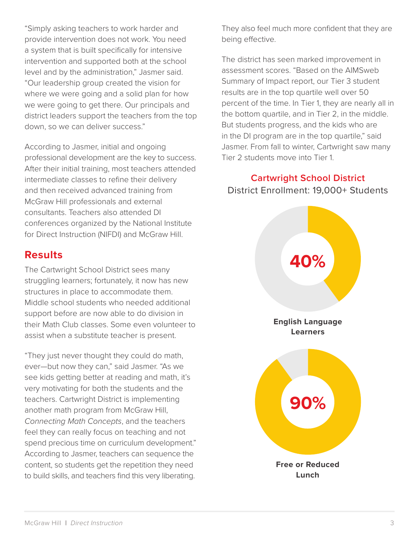"Simply asking teachers to work harder and provide intervention does not work. You need a system that is built specifically for intensive intervention and supported both at the school level and by the administration," Jasmer said. "Our leadership group created the vision for where we were going and a solid plan for how we were going to get there. Our principals and district leaders support the teachers from the top down, so we can deliver success."

According to Jasmer, initial and ongoing professional development are the key to success. After their initial training, most teachers attended intermediate classes to refine their delivery and then received advanced training from McGraw Hill professionals and external consultants. Teachers also attended DI conferences organized by the National Institute for Direct Instruction (NIFDI) and McGraw Hill.

### **Results**

The Cartwright School District sees many struggling learners; fortunately, it now has new structures in place to accommodate them. Middle school students who needed additional support before are now able to do division in their Math Club classes. Some even volunteer to assist when a substitute teacher is present.

"They just never thought they could do math, ever—but now they can," said Jasmer. "As we see kids getting better at reading and math, it's very motivating for both the students and the teachers. Cartwright District is implementing another math program from McGraw Hill, *Connecting Math Concepts*, and the teachers feel they can really focus on teaching and not spend precious time on curriculum development." According to Jasmer, teachers can sequence the content, so students get the repetition they need to build skills, and teachers find this very liberating.

They also feel much more confident that they are being effective.

The district has seen marked improvement in assessment scores. "Based on the AIMSweb Summary of Impact report, our Tier 3 student results are in the top quartile well over 50 percent of the time. In Tier 1, they are nearly all in the bottom quartile, and in Tier 2, in the middle. But students progress, and the kids who are in the DI program are in the top quartile," said Jasmer. From fall to winter, Cartwright saw many Tier 2 students move into Tier 1.

**Cartwright School District** District Enrollment: 19,000+ Students